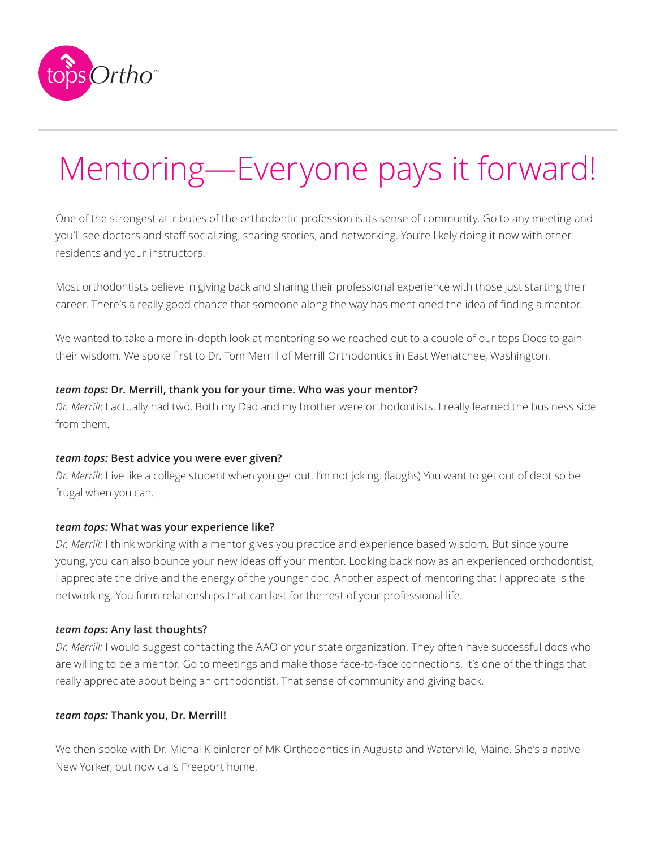

# Mentoring—Everyone pays it forward!

One of the strongest attributes of the orthodontic profession is its sense of community. Go to any meeting and you'll see doctors and staff socializing, sharing stories, and networking. You're likely doing it now with other residents and your instructors.

Most orthodontists believe in giving back and sharing their professional experience with those just starting their career. There's a really good chance that someone along the way has mentioned the idea of finding a mentor.

We wanted to take a more in-depth look at mentoring so we reached out to a couple of our tops Docs to gain their wisdom. We spoke first to Dr. Tom Merrill of Merrill Orthodontics in East Wenatchee, Washington.

## *team tops:* **Dr. Merrill, thank you for your time. Who was your mentor?**

*Dr. Merrill*: I actually had two. Both my Dad and my brother were orthodontists. I really learned the business side from them.

## *team tops:* **Best advice you were ever given?**

*Dr. Merrill*: Live like a college student when you get out. I'm not joking. (laughs) You want to get out of debt so be frugal when you can.

## *team tops:* **What was your experience like?**

*Dr. Merrill:* I think working with a mentor gives you practice and experience based wisdom. But since you're young, you can also bounce your new ideas off your mentor. Looking back now as an experienced orthodontist, I appreciate the drive and the energy of the younger doc. Another aspect of mentoring that I appreciate is the networking. You form relationships that can last for the rest of your professional life.

## *team tops:* **Any last thoughts?**

*Dr. Merrill:* I would suggest contacting the AAO or your state organization. They often have successful docs who are willing to be a mentor. Go to meetings and make those face-to-face connections. It's one of the things that I really appreciate about being an orthodontist. That sense of community and giving back.

## *team tops:* **Thank you, Dr. Merrill!**

We then spoke with Dr. Michal Kleinlerer of MK Orthodontics in Augusta and Waterville, Maine. She's a native New Yorker, but now calls Freeport home.